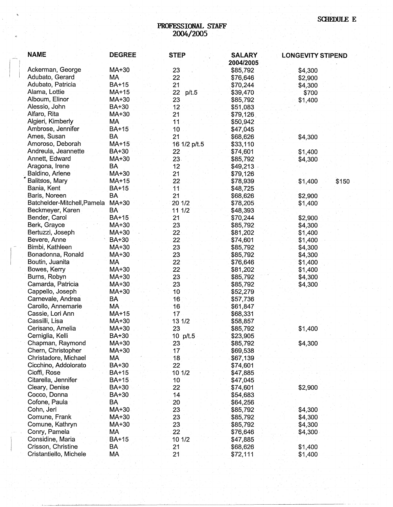## **PROFESSIONAL STAFF 2004/2005**

| <b>NAME</b>                 | <b>DEGREE</b> | <b>STEP</b>     | <b>SALARY</b><br>2004/2005 | <b>LONGEVITY STIPEND</b> |       |
|-----------------------------|---------------|-----------------|----------------------------|--------------------------|-------|
| Ackerman, George            | MA+30         | 23              | \$85,792                   | \$4,300                  |       |
| Adubato, Gerard             | МA            | 22              | \$76,646                   | \$2,900                  |       |
| Adubato, Patricia           | <b>BA+15</b>  | 21              | \$70,244                   | \$4,300                  |       |
| Alama, Lottie               | MA+15         | 22<br>p/t.5     | \$39,470                   | \$700                    |       |
| Alboum, Elinor              | MA+30         | 23              | \$85,792                   | \$1,400                  |       |
| Alessio, John               | BA+30         | 12              | \$51,083                   |                          |       |
| Alfaro, Rita                | MA+30         | 21              | \$79,126                   |                          |       |
| Algieri, Kimberly           | MA            | 11              | \$50,942                   |                          |       |
| Ambrose, Jennifer           | <b>BA+15</b>  | 10              | \$47,045                   |                          |       |
| Ames, Susan                 | <b>BA</b>     | 21              | \$68,626                   | \$4,300                  |       |
| Amoroso, Deborah            | $MA+15$       | 16 1/2 p/t.5    | \$33,110                   |                          |       |
| Andreula, Jeannette         | BA+30         | 22 <sub>2</sub> | \$74,601                   | \$1,400                  |       |
| Annett, Edward              | MA+30         | 23.             | \$85,792                   | \$4,300                  |       |
| Aragona, Irene              | <b>BA</b>     | 12              | \$49,213                   |                          |       |
| Baldino, Arlene             | MA+30         | 21              | \$79,126                   |                          |       |
| Balitsos, Mary              | MA+15         | 22              | \$78,939                   | \$1,400                  | \$150 |
| Bania, Kent                 | <b>BA+15</b>  | 11              | \$48,725                   |                          |       |
| Baris, Noreen               | BA            | 21              | \$68,626                   | \$2,900                  |       |
| Batchelder-Mitchell, Pamela | MA+30         | 20 1/2          | \$78,205                   | \$1,400                  |       |
| Beckmeyer, Karen            | <b>BA</b>     | 11 1/2          | \$48,393                   |                          |       |
| Bender, Carol               | <b>BA+15</b>  | 21              | \$70,244                   | \$2,900                  |       |
| Berk, Grayce                | MA+30         | 23              | \$85,792                   | \$4,300                  |       |
| Bertuzzi, Joseph            | MA+30         | 22              | \$81,202                   | \$1,400                  |       |
| Bevere, Anne                | <b>BA+30</b>  | 22              | \$74,601                   | \$1,400                  |       |
| Bimbi, Kathleen             | MA+30         | 23              | \$85,792                   | \$4,300                  |       |
| Bonadonna, Ronald           | MA+30         | 23              | \$85,792                   | \$4,300                  |       |
| Boutin, Juanita             | МA            | 22              | \$76,646                   | \$1,400                  |       |
| Bowes, Kerry                | MA+30         | 22              | \$81,202                   | \$1,400                  |       |
| Burns, Robyn                | MA+30         | 23              | \$85,792                   | \$4,300                  |       |
| Camarda, Patricia           | MA+30         | 23              | \$85,792                   | \$4,300                  |       |
| Cappello, Joseph            | MA+30         | 10              | \$52,279                   |                          |       |
| Carnevale, Andrea           | BA            | 16              | \$57,736                   |                          |       |
| Carollo, Annemarie          | MA            | 16              | \$61,847                   |                          |       |
| Cassie, Lori Ann            | MA+15         | 17              | \$68,331                   |                          |       |
| Cassilli, Lisa              | MA+30         | 13 1/2          | \$58,857                   |                          |       |
| Cerisano, Amelia            | MA+30         | 23              | \$85,792                   | \$1,400                  |       |
| Cerniglia, Kelli            | BA+30         | 10 p/t.5        | \$23,905                   |                          |       |
| Chapman, Raymond            | MA+30         | 23              | \$85,792                   | \$4,300                  |       |
| Chern, Christopher          | MA+30         | 17              | \$69,538                   |                          |       |
| Christadore, Michael        | МA            | 18              | \$67,139                   |                          |       |
| Cicchino, Addolorato        | BA+30         | 22              | \$74,601                   |                          |       |
| Cioffi, Rose                | <b>BA+15</b>  | 10 1/2          | \$47,885                   |                          |       |
| Citarella, Jennifer         | BA+15         | 10              | \$47,045                   |                          |       |
| Cleary, Denise              | BA+30         | 22              | \$74,601                   | \$2,900                  |       |
| Cocco, Donna                | BA+30         | 14              | \$54,683                   |                          |       |
| Cofone, Paula               | BA            | 20              | \$64,256                   |                          |       |
| Cohn, Jeri                  | MA+30         | 23              | \$85,792                   | \$4,300                  |       |
| Comune, Frank               | MA+30         | 23              | \$85,792                   | \$4,300                  |       |
| Comune, Kathryn             | MA+30         | 23              | \$85,792                   | \$4,300                  |       |
| Conry, Pamela               | МA            | 22              | \$76,646                   | \$4,300                  |       |
| Considine, Maria            | <b>BA+15</b>  | 10 1/2          |                            |                          |       |
| Crisson, Christine          | BA            |                 | \$47,885                   |                          |       |
| Cristantiello, Michele      | МA            | 21<br>21        | \$68,626<br>\$72,111       | \$1,400<br>\$1,400       |       |
|                             |               |                 |                            |                          |       |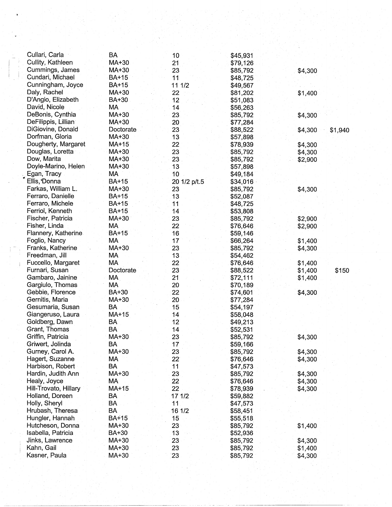| Cullari, Carla        | BA           | 10 <sub>1</sub> | \$45,931 |                    |
|-----------------------|--------------|-----------------|----------|--------------------|
| Cullity, Kathleen     | MA+30        | 21              | \$79,126 |                    |
| Cummings, James       | MA+30        | 23              | \$85,792 | \$4,300            |
| Cundari, Michael      | <b>BA+15</b> | 11              | \$48,725 |                    |
| Cunningham, Joyce     | BA+15        | 11 1/2          | \$49,567 |                    |
| Daly, Rachel          | $MA+30$      | 22              | \$81,202 | \$1,400            |
| D'Angio, Elizabeth    | BA+30        | 12              | \$51,083 |                    |
| David, Nicole         | MA           | 14              | \$56,263 |                    |
| DeBonis, Cynthia      | MA+30        | 23              | \$85,792 | \$4,300            |
| DeFilippis, Lillian   | MA+30        | 20              | \$77,284 |                    |
| DiGiovine, Donald     | Doctorate    | 23              | \$88,522 |                    |
| Dorfman, Gloria       | MA+30        | 13              |          | \$4,300<br>\$1,940 |
| Dougherty, Margaret   |              |                 | \$57,898 |                    |
|                       | MA+15        | 22              | \$78,939 | \$4,300            |
| Douglas, Loretta      | MA+30        | 23              | \$85,792 | \$4,300            |
| Dow, Marita           | MA+30        | 23              | \$85,792 | \$2,900            |
| Doyle-Marino, Helen   | MA+30        | 13              | \$57,898 |                    |
| Egan, Tracy           | MA           | 10              | \$49,184 |                    |
| Ellis, Donna          | <b>BA+15</b> | 20 1/2 p/t.5    | \$34,016 |                    |
| Farkas, William L.    | MA+30        | 23              | \$85,792 | \$4,300            |
| Ferraro, Danielle     | BA+15        | 13              | \$52,087 |                    |
| Ferraro, Michele      | BA+15        | 11              | \$48,725 |                    |
| Ferriol, Kenneth      | BA+15        | 14              | \$53,808 |                    |
| Fischer, Patricia     | MA+30        | 23              | \$85,792 | \$2,900            |
| Fisher, Linda         | MA           | 22              | \$76,646 | \$2,900            |
| Flannery, Katherine   | <b>BA+15</b> | 16              | \$59,146 |                    |
| Foglio, Nancy         | MA           | 17              | \$66,264 | \$1,400            |
| Franks, Katherine     | MA+30        | 23              | \$85,792 | \$4,300            |
| Freedman, Jill        | MA           | 13              | \$54,462 |                    |
| Fuccello, Margaret    | МA           | 22              | \$76,646 | \$1,400            |
| Furnari, Susan        | Doctorate    | 23              | \$88,522 | \$1,400<br>\$150   |
| Gambaro, Jainine      | MA           | 21              | \$72,111 | \$1,400            |
| Gargiulo, Thomas      | MA           | 20              | \$70,189 |                    |
| Gebbie, Florence      | BA+30        | 22              | \$74,601 | \$4,300            |
| Gernitis, Maria       | MA+30        | 20              | \$77,284 |                    |
| Gesumaria, Susan      | <b>BA</b>    | 15              | \$54,197 |                    |
| Giangeruso, Laura     | MA+15        | 14              | \$58,048 |                    |
| Goldberg, Dawn        | <b>BA</b>    | 12              |          |                    |
| Grant, Thomas         | <b>BA</b>    |                 | \$49,213 |                    |
| Griffin, Patricia     |              | 14              | \$52,531 |                    |
|                       | MA+30        | 23              | \$85,792 | \$4,300            |
| Griwert, Jolinda      | BA           | 17              | \$59,166 |                    |
| Gurney, Carol A.      | MA+30        | 23              | \$85,792 | \$4,300            |
| Hagert, Suzanne       | МA           | $22^{\circ}$    | \$76,646 | \$4,300            |
| Harbison, Robert      | BA           | 11              | \$47,573 |                    |
| Hardin, Judith Ann    | MA+30        | 23.             | \$85,792 | \$4,300            |
| Healy, Joyce          | МA           | 22              | \$76,646 | \$4,300            |
| Hill-Trovato, Hillary | MA+15        | 22              | \$78,939 | \$4,300            |
| Holland, Doreen       | BA           | 17 1/2          | \$59,882 |                    |
| Holly, Sheryl         | BA           | 11              | \$47,573 |                    |
| Hrubash, Theresa      | <b>BA</b>    | 16 1/2          | \$58,451 |                    |
| Hungler, Hannah       | <b>BA+15</b> | 15              | \$55,518 |                    |
| Hutcheson, Donna      | MA+30        | 23              | \$85,792 | \$1,400            |
| Isabella, Patricia    | BA+30        | 13              | \$52,936 |                    |
| Jinks, Lawrence       | MA+30        | 23              | \$85,792 | \$4,300            |
| Kahn, Gail            | MA+30        | 23              | \$85,792 | \$1,400            |
| Kasner, Paula         | MA+30        | 23              | \$85,792 | \$4,300            |
|                       |              |                 |          |                    |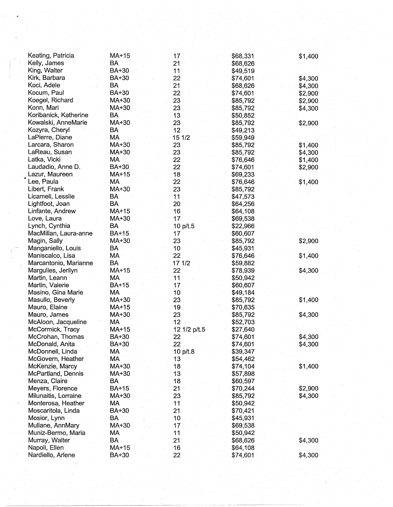| Keating, Patricia                    | MA+15        | 17           | \$68,331             | \$1,400            |
|--------------------------------------|--------------|--------------|----------------------|--------------------|
| Kelly, James                         | BA           | 21           | \$68,626             |                    |
| King, Walter                         | BA+30        | 11           | \$49,519             |                    |
| Kirk, Barbara                        | BA+30        | 22           | \$74,601             | \$4,300            |
| Koci, Adele                          | <b>BA</b>    | 21           | \$68,626             | \$4,300            |
| Kocum, Paul                          | BA+30        | 22           | \$74,601             | \$2,900            |
| Koegel, Richard                      | MA+30        | 23           | \$85,792             | \$2,900            |
| Konn, Mari                           | MA+30        | 23           | \$85,792             | \$4,300            |
| Koribanick, Katherine                | BA           | 13           | \$50,852             |                    |
| Kowalski, AnneMarie                  | MA+30        | 23           | \$85,792             | \$2,900            |
| Kozyra, Cheryl                       | BA           | 12           | \$49,213             |                    |
| LaPierre, Diane                      | MA           | 15 1/2       | \$59,949             |                    |
| Larcara, Sharon                      | MA+30        | 23           | \$85,792             | \$1,400            |
| LaReau, Susan                        | MA+30        | 23           | \$85,792             | \$4,300            |
| Latka, Vicki                         | МA           | 22           | \$76,646             | \$1,400            |
| Laudadio, Anne D.                    | BA+30        | 22           | \$74,601             | \$2,900            |
| Lazur, Maureen                       | MA+15        | 18           | \$69,233             |                    |
| Lee, Paula                           | МA           | 22           | \$76,646             | \$1,400            |
| Libert, Frank                        | MA+30        | 23           | \$85,792             |                    |
| Licameli, Lesslie                    | BA           | 11           | \$47,573             |                    |
| Lightfoot, Joan                      | BA           | 20           | \$64,256             |                    |
| Linfante, Andrew                     | MA+15        | 16           | \$64,108             |                    |
| Love, Laura                          | MA+30        | 17           | \$69,538             |                    |
| Lynch, Cynthia                       | <b>BA</b>    | 10 p/t.5     | \$22,966             |                    |
| MacMillan, Laura-anne                | <b>BA+15</b> | 17           | \$60,607             |                    |
| Magin, Sally                         | MA+30        | 23           | \$85,792             | \$2,900            |
| Manganiello, Louis                   | BA           | 10           | \$45,931             |                    |
| Maniscalco, Lisa                     | MA           | 22           | \$76,646             | \$1,400            |
| Marcantonio, Marianne                | <b>BA</b>    | 17 1/2       | \$59,882             |                    |
| Margulies, Jerilyn                   | MA+15        | 22           | \$78,939             | \$4,300            |
| Martin, Leann                        | MA           | 11           | \$50,942             |                    |
| Martin, Valerie                      | <b>BA+15</b> | 17           | \$60,607             |                    |
| Masino, Gina Marie                   | MA           | 10           | \$49,184             |                    |
| Masullo, Beverly                     | MA+30        | 23           | \$85,792             | \$1,400            |
| Mauro, Elaine                        | MA+15        | 19           | \$70,635             |                    |
| Mauro, James                         | MA+30        | 23           | \$85,792             | \$4,300            |
| McAloon, Jacqueline                  | MA<br>MA+15  | 12           | \$52,703             |                    |
| McCormick, Tracy<br>McCrohan, Thomas | BA+30        | 12 1/2 p/t.5 | \$27,640             |                    |
| McDonald, Anita                      | BA+30        | 22<br>22     | \$74,601<br>\$74,601 | \$4,300<br>\$4,300 |
| McDonnell, Linda                     | MA           | 10 p/t.8     | \$39,347             |                    |
| McGovern, Heather                    | MA           | 13           | \$54,462             |                    |
| McKenzie, Marcy                      | MA+30        | 18           | \$74,104             | \$1,400            |
| McPartland, Dennis                   | MA+30        | 13           | \$57,898             |                    |
| Menza, Claire                        | <b>BA</b>    | 18           | \$60,597             |                    |
| Meyers, Florence                     | <b>BA+15</b> | 21           | \$70,244             | \$2,900            |
| Milunaitis, Lorraine                 | MA+30        | 23           | \$85,792             | \$4,300            |
| Monterosa, Heather                   | MA           | 11           | \$50,942             |                    |
| Moscaritola, Linda                   | <b>BA+30</b> | 21           | \$70,421             |                    |
| Mosior, Lynn                         | BA           | 10           | \$45,931             |                    |
| Mullane, AnnMary                     | MA+30        | 17           | \$69,538             |                    |
| Muniz-Bermo, Maria                   | MA           | 11           | \$50,942             |                    |
| Murray, Walter                       | <b>BA</b>    | 21           | \$68,626             | \$4,300            |
| Napoli, Ellen                        | MA+15        | 16           | \$64,108             |                    |
| Nardiello, Arlene                    | BA+30        | 22           | \$74,601             | \$4,300            |
|                                      |              |              |                      |                    |

 $\label{eq:2} \begin{split} \mathcal{L}^{2} & = \frac{1}{2} \sum_{i=1}^{2} \mathcal{L}^{2} \left( \mathcal{L}^{2} \right) \mathcal{L}^{2} \\ & = \frac{1}{2} \sum_{i=1}^{2} \mathcal{L}^{2} \left( \mathcal{L}^{2} \right) \mathcal{L}^{2} \\ & = \frac{1}{2} \sum_{i=1}^{2} \mathcal{L}^{2} \left( \mathcal{L}^{2} \right) \mathcal{L}^{2} \\ & = \frac{1}{2} \sum_{i=1}^{2} \mathcal{L}^{2} \left( \mathcal{L}^{2}$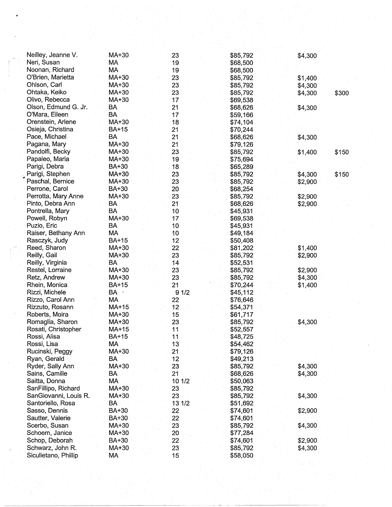| Neilley, Jeanne V.<br>Neri, Susan | MA+30<br>MA  | 23<br>19        | \$85,792<br>\$68,500 | \$4,300          |
|-----------------------------------|--------------|-----------------|----------------------|------------------|
| Noonan, Richard                   | МA           | 19              | \$68,500             |                  |
| O'Brien, Marietta                 | MA+30        | 23              | \$85,792             | \$1,400          |
| Ohlson, Carl                      | MA+30        | 23              | \$85,792             | \$4,300          |
| Ohtaka, Keiko                     | MA+30        | 23              | \$85,792             | \$4,300<br>\$300 |
| Olivo, Rebecca                    | MA+30        | 17              | \$69,538             |                  |
| Olson, Edmund G. Jr.              | BA           | 21              | \$68,626             | \$4,300          |
| O'Mara, Eileen                    | <b>BA</b>    | 17              | \$59,166             |                  |
| Orenstein, Arlene                 | MA+30        | 18              | \$74,104             |                  |
| Osieja, Christina                 | <b>BA+15</b> | 21              | \$70,244             |                  |
| Pace, Michael                     | <b>BA</b>    | 21              | \$68,626             | \$4,300          |
| Pagana, Mary                      | MA+30        | 21              | \$79,126             |                  |
| Pandolfi, Becky                   | MA+30        | 23              | \$85,792             | \$150<br>\$1,400 |
| Papaleo, Maria                    | MA+30        | 19              | \$75,694             |                  |
| Parigi, Debra                     | BA+30        | 18              | \$65,289             |                  |
| Parigi, Stephen                   | MA+30        | 23              | \$85,792             | \$150<br>\$4,300 |
| Paschal, Bernice                  | MA+30        | 23              | \$85,792             | \$2,900          |
| Perrone, Carol                    | BA+30        | 20              | \$68,254             |                  |
| Perrotta, Mary Anne               | MA+30        | 23              | \$85,792             | \$2,900          |
| Pinto, Debra Ann                  | BA           | 21              | \$68,626             | \$2,900          |
| Pontrella, Mary                   | <b>BA</b>    | 10              | \$45,931             |                  |
| Powell, Robyn                     | MA+30        | 17              | \$69,538             |                  |
| Puzio, Eric                       | BA           | 10              | \$45,931             |                  |
| Raiser, Bethany Ann               | MA           | 10              | \$49,184             |                  |
| Rasczyk, Judy                     | <b>BA+15</b> | 12              | \$50,408             |                  |
| Reed, Sharon                      | MA+30        | 22              | \$81,202             | \$1,400          |
| Reilly, Gail                      | MA+30        | 23              | \$85,792             | \$2,900          |
| Reilly, Virginia                  | <b>BA</b>    | 14              | \$52,531             |                  |
| Restel, Lorraine                  | MA+30        | 23              | \$85,792             | \$2,900          |
| Retz, Andrew                      | MA+30        | 23              | \$85,792             | \$4,300          |
| Rhein, Monica                     | BA+15        | 21              | \$70,244             | \$1,400          |
| Rizzi, Michele                    | $BA =$       | 91/2            | \$45,112             |                  |
| Rizzo, Carol Ann                  | MA           | 22              | \$76,646             |                  |
| Rizzuto, Rosann                   | MA+15        | 12              | \$54,371             |                  |
| Roberts, Moira                    | MA+30        | 15              | \$61,717             |                  |
| Romaglia, Sharon                  | MA+30        | 23              | \$85,792             | \$4,300          |
| Rosati, Christopher               | MA+15        | 11              | \$52,557             |                  |
| Rossi, Alisa                      | <b>BA+15</b> | 11              | \$48,725             |                  |
| Rossi, Lisa                       | MA           | 13              | \$54,462             |                  |
| Rucinski, Peggy                   | MA+30        | 21              | \$79,126             |                  |
| Ryan, Gerald                      | BA           | 12              | \$49,213             |                  |
| Ryder, Sally Ann                  | MA+30        | 23              | \$85,792             | \$4,300          |
| Sains, Camille                    | BA           | 21              | \$68,626             | \$4,300          |
| Saitta, Donna                     | MA           | 10 1/2          | \$50,063             |                  |
| SanFillipo, Richard               | MA+30        | 23              | \$85,792             |                  |
| SanGiovanni, Louis R.             | MA+30        | 23              | \$85,792             | \$4,300          |
| Santoriello, Rosa                 | BA           | 13 1/2          | \$51,692             |                  |
| Sasso, Dennis                     | <b>BA+30</b> | 22 <sub>2</sub> | \$74,601             | \$2,900          |
| Sautter, Valerie                  | BA+30        | 22              | \$74,601             |                  |
| Scerbo, Susan                     | MA+30        | 23              | \$85,792             | \$4,300          |
| Schoem, Janice                    | MA+30        | 20              | \$77,284             |                  |
| Schop, Deborah                    | BA+30        | 22              | \$74,601             | \$2,900          |
| Schwarz, John R.                  | MA+30        | 23              | \$85,792             | \$4,300          |
| Siculietano, Phillip              | MA           | 15              | \$58,050             |                  |
|                                   |              |                 |                      |                  |
|                                   |              |                 |                      |                  |

.... ""

- -- ·----

- ··-·--·--- -~-------